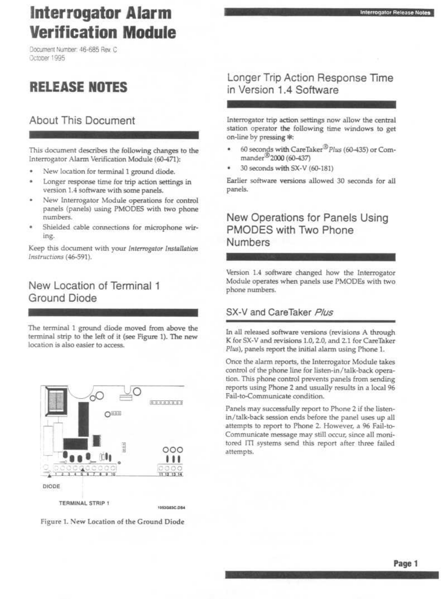# Interrogator Alarm Verification Module **Interrogator<br>Verification I**<br>Document Number: 46-685 Rev. C<br>October 1995  $\sim$  $\sim$   $\sim$ **Interroom**<br>**Verifica**

Document Number: 46 .685 Rev. C Octooer 1995

## RELEASE NOTES

## About This Document

This document describes the following changes to the Interrogator Alarm Verification Module (60-471) :

- New location for terminal 1 ground diode.
- Longer response time for trip action settings in version 1.4 software with some panels.
- New Interrogator Module operations for control panels (panels) using PMODES with two phone numbers.
- Shielded cable connections for microphone wiring.

Keep this document with your Interrogator Installation Instructions (46-591).

## New Location of Terminal 1 Ground Diode

The terminal 1 ground diode moved from above the terminal strip to the left of it (see Figure 1). The new location is also easier to access.



Figure 1. New Location of the Ground Diode

### Longer Trip Action Response Time in Version 1.4 Software

Interrogator Release Notes

Interrogator trip action settings now allow the central station operator the following time windows to get on-line by pressing \* :

- 60 seconds with CareTaker<sup>®</sup> Plus (60-435) or Commander<sup>30</sup> 2000 (60-437)
- 30 seconds with SX-V (60-181)

Earlier software versions allowed 30 seconds for all panels.

## New Operations for Panels Using PMODES with Two Phone Numbers

Version 1.4 software changed how the Interrogator Module operates when panels use PMODEs with two phone numbers.

#### SX-V and CareTaker Plus

In all released software versions (revisions A through K for SX-V and revisions 1.0, 2.0, and 2.1 for CareTaker Plus), panels report the initial alarm using Phone 1.

Once the alarm reports, the Interrogator Module takes control of the phone line for listen-in/talk-back operation. This phone control prevents panels from sending reports using Phone 2 and usually results in a local 96 Fail-to-Communicate condition.

Panels may successfully report to Phone 2 if the listenattempts to report to Phone 2. However, a 96 Fail-to-Communicate message may still occur, since all monitored III systems send this report after three failed